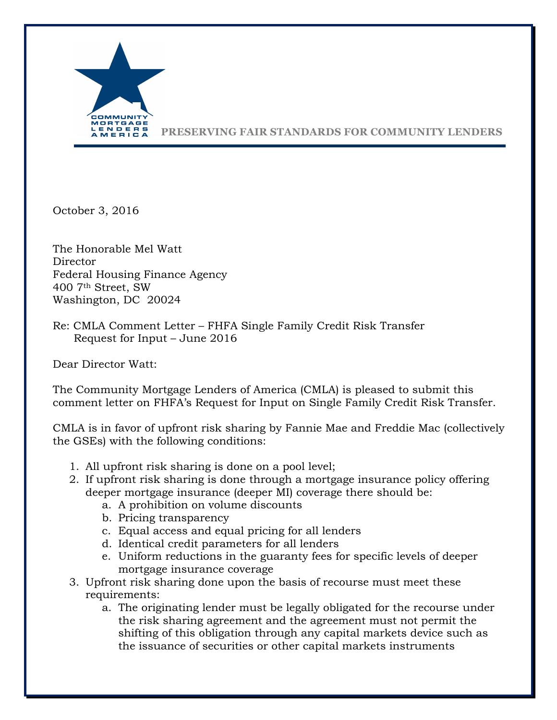

**PRESERVING FAIR STANDARDS FOR COMMUNITY LENDERS**

October 3, 2016

The Honorable Mel Watt Director Federal Housing Finance Agency 400 7th Street, SW Washington, DC 20024

Re: CMLA Comment Letter – FHFA Single Family Credit Risk Transfer Request for Input – June 2016

Dear Director Watt:

The Community Mortgage Lenders of America (CMLA) is pleased to submit this comment letter on FHFA's Request for Input on Single Family Credit Risk Transfer.

CMLA is in favor of upfront risk sharing by Fannie Mae and Freddie Mac (collectively the GSEs) with the following conditions:

- 1. All upfront risk sharing is done on a pool level;
- 2. If upfront risk sharing is done through a mortgage insurance policy offering deeper mortgage insurance (deeper MI) coverage there should be:
	- a. A prohibition on volume discounts
	- b. Pricing transparency
	- c. Equal access and equal pricing for all lenders
	- d. Identical credit parameters for all lenders
	- e. Uniform reductions in the guaranty fees for specific levels of deeper mortgage insurance coverage
- 3. Upfront risk sharing done upon the basis of recourse must meet these requirements:
	- a. The originating lender must be legally obligated for the recourse under the risk sharing agreement and the agreement must not permit the shifting of this obligation through any capital markets device such as the issuance of securities or other capital markets instruments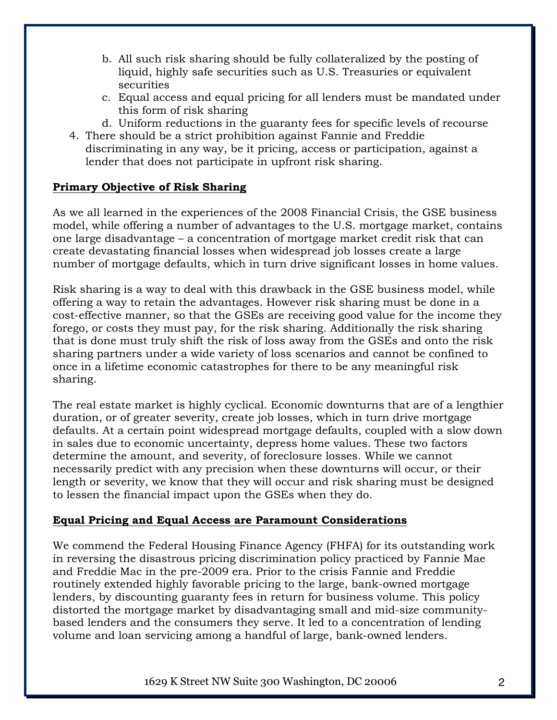- b. All such risk sharing should be fully collateralized by the posting of liquid, highly safe securities such as U.S. Treasuries or equivalent securities
- c. Equal access and equal pricing for all lenders must be mandated under this form of risk sharing
- d. Uniform reductions in the guaranty fees for specific levels of recourse
- 4. There should be a strict prohibition against Fannie and Freddie discriminating in any way, be it pricing, access or participation, against a lender that does not participate in upfront risk sharing.

## **Primary Objective of Risk Sharing**

As we all learned in the experiences of the 2008 Financial Crisis, the GSE business model, while offering a number of advantages to the U.S. mortgage market, contains one large disadvantage – a concentration of mortgage market credit risk that can create devastating financial losses when widespread job losses create a large number of mortgage defaults, which in turn drive significant losses in home values.

Risk sharing is a way to deal with this drawback in the GSE business model, while offering a way to retain the advantages. However risk sharing must be done in a cost-effective manner, so that the GSEs are receiving good value for the income they forego, or costs they must pay, for the risk sharing. Additionally the risk sharing that is done must truly shift the risk of loss away from the GSEs and onto the risk sharing partners under a wide variety of loss scenarios and cannot be confined to once in a lifetime economic catastrophes for there to be any meaningful risk sharing.

The real estate market is highly cyclical. Economic downturns that are of a lengthier duration, or of greater severity, create job losses, which in turn drive mortgage defaults. At a certain point widespread mortgage defaults, coupled with a slow down in sales due to economic uncertainty, depress home values. These two factors determine the amount, and severity, of foreclosure losses. While we cannot necessarily predict with any precision when these downturns will occur, or their length or severity, we know that they will occur and risk sharing must be designed to lessen the financial impact upon the GSEs when they do.

## **Equal Pricing and Equal Access are Paramount Considerations**

We commend the Federal Housing Finance Agency (FHFA) for its outstanding work in reversing the disastrous pricing discrimination policy practiced by Fannie Mae and Freddie Mac in the pre-2009 era. Prior to the crisis Fannie and Freddie routinely extended highly favorable pricing to the large, bank-owned mortgage lenders, by discounting guaranty fees in return for business volume. This policy distorted the mortgage market by disadvantaging small and mid-size communitybased lenders and the consumers they serve. It led to a concentration of lending volume and loan servicing among a handful of large, bank-owned lenders.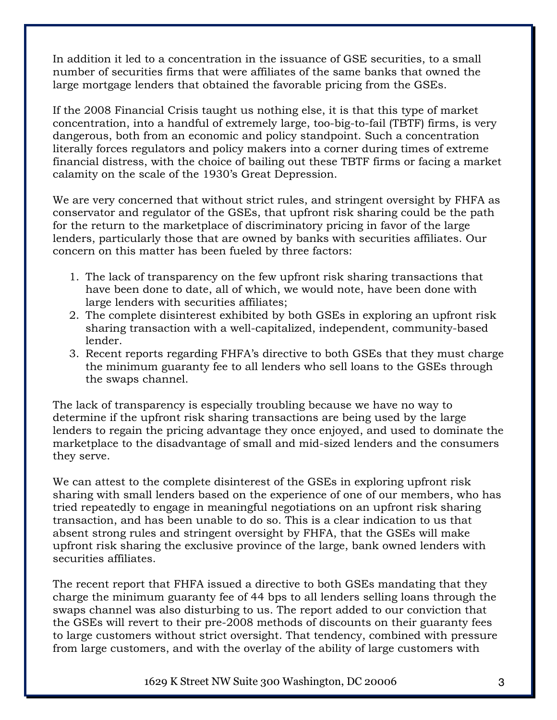In addition it led to a concentration in the issuance of GSE securities, to a small number of securities firms that were affiliates of the same banks that owned the large mortgage lenders that obtained the favorable pricing from the GSEs.

If the 2008 Financial Crisis taught us nothing else, it is that this type of market concentration, into a handful of extremely large, too-big-to-fail (TBTF) firms, is very dangerous, both from an economic and policy standpoint. Such a concentration literally forces regulators and policy makers into a corner during times of extreme financial distress, with the choice of bailing out these TBTF firms or facing a market calamity on the scale of the 1930's Great Depression.

We are very concerned that without strict rules, and stringent oversight by FHFA as conservator and regulator of the GSEs, that upfront risk sharing could be the path for the return to the marketplace of discriminatory pricing in favor of the large lenders, particularly those that are owned by banks with securities affiliates. Our concern on this matter has been fueled by three factors:

- 1. The lack of transparency on the few upfront risk sharing transactions that have been done to date, all of which, we would note, have been done with large lenders with securities affiliates;
- 2. The complete disinterest exhibited by both GSEs in exploring an upfront risk sharing transaction with a well-capitalized, independent, community-based lender.
- 3. Recent reports regarding FHFA's directive to both GSEs that they must charge the minimum guaranty fee to all lenders who sell loans to the GSEs through the swaps channel.

The lack of transparency is especially troubling because we have no way to determine if the upfront risk sharing transactions are being used by the large lenders to regain the pricing advantage they once enjoyed, and used to dominate the marketplace to the disadvantage of small and mid-sized lenders and the consumers they serve.

We can attest to the complete disinterest of the GSEs in exploring upfront risk sharing with small lenders based on the experience of one of our members, who has tried repeatedly to engage in meaningful negotiations on an upfront risk sharing transaction, and has been unable to do so. This is a clear indication to us that absent strong rules and stringent oversight by FHFA, that the GSEs will make upfront risk sharing the exclusive province of the large, bank owned lenders with securities affiliates.

The recent report that FHFA issued a directive to both GSEs mandating that they charge the minimum guaranty fee of 44 bps to all lenders selling loans through the swaps channel was also disturbing to us. The report added to our conviction that the GSEs will revert to their pre-2008 methods of discounts on their guaranty fees to large customers without strict oversight. That tendency, combined with pressure from large customers, and with the overlay of the ability of large customers with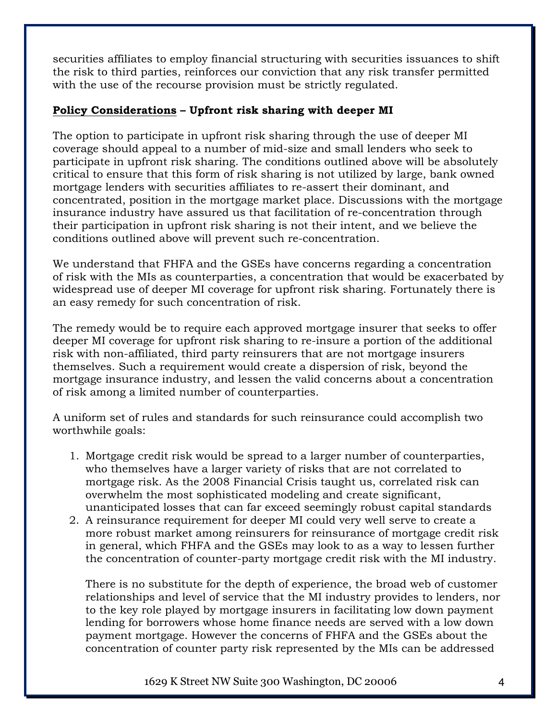securities affiliates to employ financial structuring with securities issuances to shift the risk to third parties, reinforces our conviction that any risk transfer permitted with the use of the recourse provision must be strictly regulated.

## **Policy Considerations – Upfront risk sharing with deeper MI**

The option to participate in upfront risk sharing through the use of deeper MI coverage should appeal to a number of mid-size and small lenders who seek to participate in upfront risk sharing. The conditions outlined above will be absolutely critical to ensure that this form of risk sharing is not utilized by large, bank owned mortgage lenders with securities affiliates to re-assert their dominant, and concentrated, position in the mortgage market place. Discussions with the mortgage insurance industry have assured us that facilitation of re-concentration through their participation in upfront risk sharing is not their intent, and we believe the conditions outlined above will prevent such re-concentration.

We understand that FHFA and the GSEs have concerns regarding a concentration of risk with the MIs as counterparties, a concentration that would be exacerbated by widespread use of deeper MI coverage for upfront risk sharing. Fortunately there is an easy remedy for such concentration of risk.

The remedy would be to require each approved mortgage insurer that seeks to offer deeper MI coverage for upfront risk sharing to re-insure a portion of the additional risk with non-affiliated, third party reinsurers that are not mortgage insurers themselves. Such a requirement would create a dispersion of risk, beyond the mortgage insurance industry, and lessen the valid concerns about a concentration of risk among a limited number of counterparties.

A uniform set of rules and standards for such reinsurance could accomplish two worthwhile goals:

- 1. Mortgage credit risk would be spread to a larger number of counterparties, who themselves have a larger variety of risks that are not correlated to mortgage risk. As the 2008 Financial Crisis taught us, correlated risk can overwhelm the most sophisticated modeling and create significant, unanticipated losses that can far exceed seemingly robust capital standards
- 2. A reinsurance requirement for deeper MI could very well serve to create a more robust market among reinsurers for reinsurance of mortgage credit risk in general, which FHFA and the GSEs may look to as a way to lessen further the concentration of counter-party mortgage credit risk with the MI industry.

There is no substitute for the depth of experience, the broad web of customer relationships and level of service that the MI industry provides to lenders, nor to the key role played by mortgage insurers in facilitating low down payment lending for borrowers whose home finance needs are served with a low down payment mortgage. However the concerns of FHFA and the GSEs about the concentration of counter party risk represented by the MIs can be addressed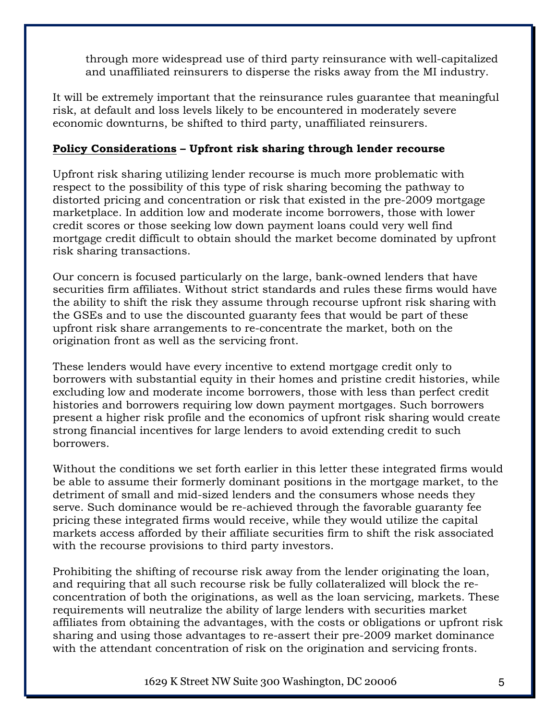through more widespread use of third party reinsurance with well-capitalized and unaffiliated reinsurers to disperse the risks away from the MI industry.

It will be extremely important that the reinsurance rules guarantee that meaningful risk, at default and loss levels likely to be encountered in moderately severe economic downturns, be shifted to third party, unaffiliated reinsurers.

## **Policy Considerations – Upfront risk sharing through lender recourse**

Upfront risk sharing utilizing lender recourse is much more problematic with respect to the possibility of this type of risk sharing becoming the pathway to distorted pricing and concentration or risk that existed in the pre-2009 mortgage marketplace. In addition low and moderate income borrowers, those with lower credit scores or those seeking low down payment loans could very well find mortgage credit difficult to obtain should the market become dominated by upfront risk sharing transactions.

Our concern is focused particularly on the large, bank-owned lenders that have securities firm affiliates. Without strict standards and rules these firms would have the ability to shift the risk they assume through recourse upfront risk sharing with the GSEs and to use the discounted guaranty fees that would be part of these upfront risk share arrangements to re-concentrate the market, both on the origination front as well as the servicing front.

These lenders would have every incentive to extend mortgage credit only to borrowers with substantial equity in their homes and pristine credit histories, while excluding low and moderate income borrowers, those with less than perfect credit histories and borrowers requiring low down payment mortgages. Such borrowers present a higher risk profile and the economics of upfront risk sharing would create strong financial incentives for large lenders to avoid extending credit to such borrowers.

Without the conditions we set forth earlier in this letter these integrated firms would be able to assume their formerly dominant positions in the mortgage market, to the detriment of small and mid-sized lenders and the consumers whose needs they serve. Such dominance would be re-achieved through the favorable guaranty fee pricing these integrated firms would receive, while they would utilize the capital markets access afforded by their affiliate securities firm to shift the risk associated with the recourse provisions to third party investors.

Prohibiting the shifting of recourse risk away from the lender originating the loan, and requiring that all such recourse risk be fully collateralized will block the reconcentration of both the originations, as well as the loan servicing, markets. These requirements will neutralize the ability of large lenders with securities market affiliates from obtaining the advantages, with the costs or obligations or upfront risk sharing and using those advantages to re-assert their pre-2009 market dominance with the attendant concentration of risk on the origination and servicing fronts.